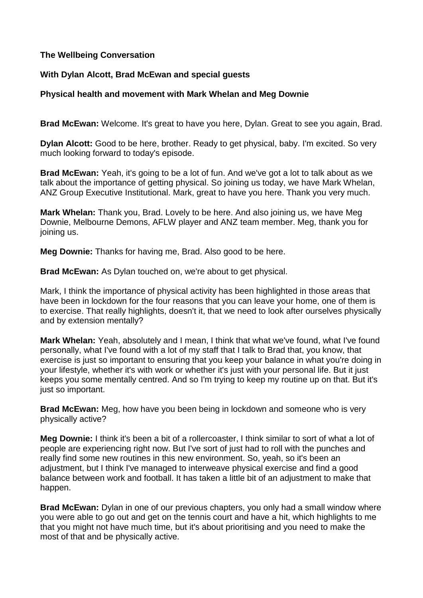## **The Wellbeing Conversation**

## **With Dylan Alcott, Brad McEwan and special guests**

## **Physical health and movement with Mark Whelan and Meg Downie**

**Brad McEwan:** Welcome. It's great to have you here, Dylan. Great to see you again, Brad.

**Dylan Alcott:** Good to be here, brother. Ready to get physical, baby. I'm excited. So very much looking forward to today's episode.

**Brad McEwan:** Yeah, it's going to be a lot of fun. And we've got a lot to talk about as we talk about the importance of getting physical. So joining us today, we have Mark Whelan, ANZ Group Executive Institutional. Mark, great to have you here. Thank you very much.

**Mark Whelan:** Thank you, Brad. Lovely to be here. And also joining us, we have Meg Downie, Melbourne Demons, AFLW player and ANZ team member. Meg, thank you for joining us.

**Meg Downie:** Thanks for having me, Brad. Also good to be here.

**Brad McEwan:** As Dylan touched on, we're about to get physical.

Mark, I think the importance of physical activity has been highlighted in those areas that have been in lockdown for the four reasons that you can leave your home, one of them is to exercise. That really highlights, doesn't it, that we need to look after ourselves physically and by extension mentally?

**Mark Whelan:** Yeah, absolutely and I mean, I think that what we've found, what I've found personally, what I've found with a lot of my staff that I talk to Brad that, you know, that exercise is just so important to ensuring that you keep your balance in what you're doing in your lifestyle, whether it's with work or whether it's just with your personal life. But it just keeps you some mentally centred. And so I'm trying to keep my routine up on that. But it's just so important.

**Brad McEwan:** Meg, how have you been being in lockdown and someone who is very physically active?

**Meg Downie:** I think it's been a bit of a rollercoaster, I think similar to sort of what a lot of people are experiencing right now. But I've sort of just had to roll with the punches and really find some new routines in this new environment. So, yeah, so it's been an adjustment, but I think I've managed to interweave physical exercise and find a good balance between work and football. It has taken a little bit of an adjustment to make that happen.

**Brad McEwan:** Dylan in one of our previous chapters, you only had a small window where you were able to go out and get on the tennis court and have a hit, which highlights to me that you might not have much time, but it's about prioritising and you need to make the most of that and be physically active.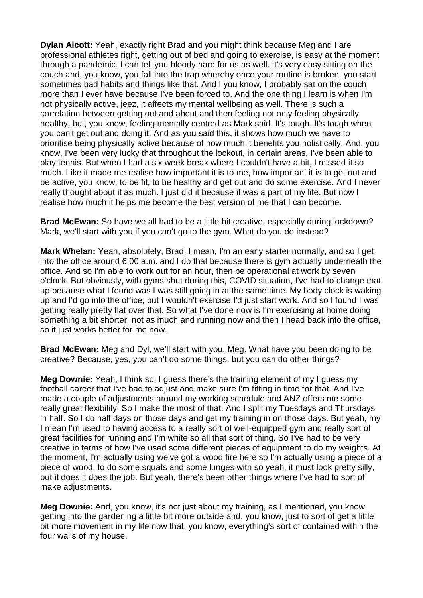**Dylan Alcott:** Yeah, exactly right Brad and you might think because Meg and I are professional athletes right, getting out of bed and going to exercise, is easy at the moment through a pandemic. I can tell you bloody hard for us as well. It's very easy sitting on the couch and, you know, you fall into the trap whereby once your routine is broken, you start sometimes bad habits and things like that. And I you know, I probably sat on the couch more than I ever have because I've been forced to. And the one thing I learn is when I'm not physically active, jeez, it affects my mental wellbeing as well. There is such a correlation between getting out and about and then feeling not only feeling physically healthy, but, you know, feeling mentally centred as Mark said. It's tough. It's tough when you can't get out and doing it. And as you said this, it shows how much we have to prioritise being physically active because of how much it benefits you holistically. And, you know, I've been very lucky that throughout the lockout, in certain areas, I've been able to play tennis. But when I had a six week break where I couldn't have a hit, I missed it so much. Like it made me realise how important it is to me, how important it is to get out and be active, you know, to be fit, to be healthy and get out and do some exercise. And I never really thought about it as much. I just did it because it was a part of my life. But now I realise how much it helps me become the best version of me that I can become.

**Brad McEwan:** So have we all had to be a little bit creative, especially during lockdown? Mark, we'll start with you if you can't go to the gym. What do you do instead?

**Mark Whelan:** Yeah, absolutely, Brad. I mean, I'm an early starter normally, and so I get into the office around 6:00 a.m. and I do that because there is gym actually underneath the office. And so I'm able to work out for an hour, then be operational at work by seven o'clock. But obviously, with gyms shut during this, COVID situation, I've had to change that up because what I found was I was still going in at the same time. My body clock is waking up and I'd go into the office, but I wouldn't exercise I'd just start work. And so I found I was getting really pretty flat over that. So what I've done now is I'm exercising at home doing something a bit shorter, not as much and running now and then I head back into the office, so it just works better for me now.

**Brad McEwan:** Meg and Dyl, we'll start with you, Meg. What have you been doing to be creative? Because, yes, you can't do some things, but you can do other things?

**Meg Downie:** Yeah, I think so. I guess there's the training element of my I guess my football career that I've had to adjust and make sure I'm fitting in time for that. And I've made a couple of adjustments around my working schedule and ANZ offers me some really great flexibility. So I make the most of that. And I split my Tuesdays and Thursdays in half. So I do half days on those days and get my training in on those days. But yeah, my I mean I'm used to having access to a really sort of well-equipped gym and really sort of great facilities for running and I'm white so all that sort of thing. So I've had to be very creative in terms of how I've used some different pieces of equipment to do my weights. At the moment, I'm actually using we've got a wood fire here so I'm actually using a piece of a piece of wood, to do some squats and some lunges with so yeah, it must look pretty silly, but it does it does the job. But yeah, there's been other things where I've had to sort of make adjustments.

**Meg Downie:** And, you know, it's not just about my training, as I mentioned, you know, getting into the gardening a little bit more outside and, you know, just to sort of get a little bit more movement in my life now that, you know, everything's sort of contained within the four walls of my house.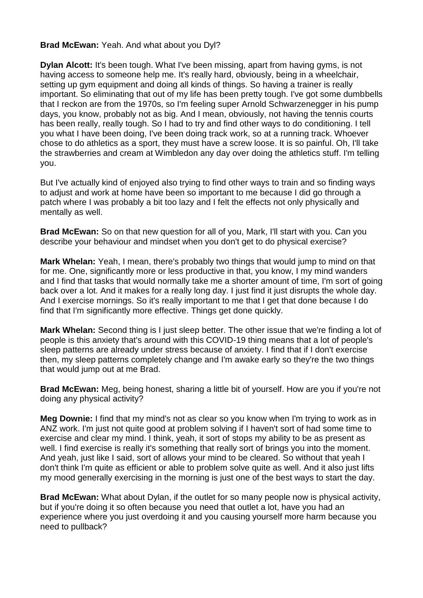### **Brad McEwan:** Yeah. And what about you Dyl?

**Dylan Alcott:** It's been tough. What I've been missing, apart from having gyms, is not having access to someone help me. It's really hard, obviously, being in a wheelchair, setting up gym equipment and doing all kinds of things. So having a trainer is really important. So eliminating that out of my life has been pretty tough. I've got some dumbbells that I reckon are from the 1970s, so I'm feeling super Arnold Schwarzenegger in his pump days, you know, probably not as big. And I mean, obviously, not having the tennis courts has been really, really tough. So I had to try and find other ways to do conditioning. I tell you what I have been doing, I've been doing track work, so at a running track. Whoever chose to do athletics as a sport, they must have a screw loose. It is so painful. Oh, I'll take the strawberries and cream at Wimbledon any day over doing the athletics stuff. I'm telling you.

But I've actually kind of enjoyed also trying to find other ways to train and so finding ways to adjust and work at home have been so important to me because I did go through a patch where I was probably a bit too lazy and I felt the effects not only physically and mentally as well.

**Brad McEwan:** So on that new question for all of you, Mark, I'll start with you. Can you describe your behaviour and mindset when you don't get to do physical exercise?

**Mark Whelan:** Yeah, I mean, there's probably two things that would jump to mind on that for me. One, significantly more or less productive in that, you know, I my mind wanders and I find that tasks that would normally take me a shorter amount of time, I'm sort of going back over a lot. And it makes for a really long day. I just find it just disrupts the whole day. And I exercise mornings. So it's really important to me that I get that done because I do find that I'm significantly more effective. Things get done quickly.

**Mark Whelan:** Second thing is I just sleep better. The other issue that we're finding a lot of people is this anxiety that's around with this COVID-19 thing means that a lot of people's sleep patterns are already under stress because of anxiety. I find that if I don't exercise then, my sleep patterns completely change and I'm awake early so they're the two things that would jump out at me Brad.

**Brad McEwan:** Meg, being honest, sharing a little bit of yourself. How are you if you're not doing any physical activity?

**Meg Downie:** I find that my mind's not as clear so you know when I'm trying to work as in ANZ work. I'm just not quite good at problem solving if I haven't sort of had some time to exercise and clear my mind. I think, yeah, it sort of stops my ability to be as present as well. I find exercise is really it's something that really sort of brings you into the moment. And yeah, just like I said, sort of allows your mind to be cleared. So without that yeah I don't think I'm quite as efficient or able to problem solve quite as well. And it also just lifts my mood generally exercising in the morning is just one of the best ways to start the day.

**Brad McEwan:** What about Dylan, if the outlet for so many people now is physical activity, but if you're doing it so often because you need that outlet a lot, have you had an experience where you just overdoing it and you causing yourself more harm because you need to pullback?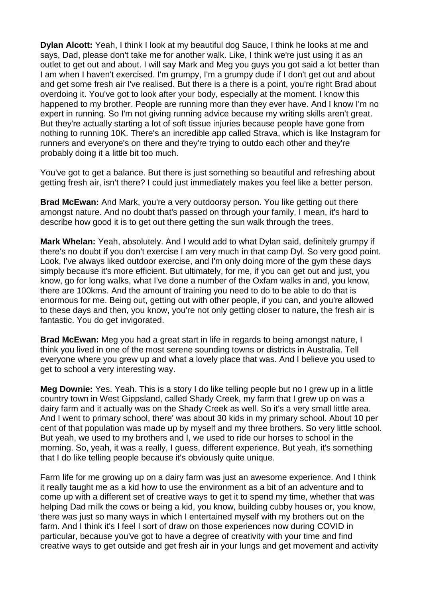**Dylan Alcott:** Yeah, I think I look at my beautiful dog Sauce, I think he looks at me and says, Dad, please don't take me for another walk. Like, I think we're just using it as an outlet to get out and about. I will say Mark and Meg you guys you got said a lot better than I am when I haven't exercised. I'm grumpy, I'm a grumpy dude if I don't get out and about and get some fresh air I've realised. But there is a there is a point, you're right Brad about overdoing it. You've got to look after your body, especially at the moment. I know this happened to my brother. People are running more than they ever have. And I know I'm no expert in running. So I'm not giving running advice because my writing skills aren't great. But they're actually starting a lot of soft tissue injuries because people have gone from nothing to running 10K. There's an incredible app called Strava, which is like Instagram for runners and everyone's on there and they're trying to outdo each other and they're probably doing it a little bit too much.

You've got to get a balance. But there is just something so beautiful and refreshing about getting fresh air, isn't there? I could just immediately makes you feel like a better person.

**Brad McEwan:** And Mark, you're a very outdoorsy person. You like getting out there amongst nature. And no doubt that's passed on through your family. I mean, it's hard to describe how good it is to get out there getting the sun walk through the trees.

**Mark Whelan:** Yeah, absolutely. And I would add to what Dylan said, definitely grumpy if there's no doubt if you don't exercise I am very much in that camp Dyl. So very good point. Look, I've always liked outdoor exercise, and I'm only doing more of the gym these days simply because it's more efficient. But ultimately, for me, if you can get out and just, you know, go for long walks, what I've done a number of the Oxfam walks in and, you know, there are 100kms. And the amount of training you need to do to be able to do that is enormous for me. Being out, getting out with other people, if you can, and you're allowed to these days and then, you know, you're not only getting closer to nature, the fresh air is fantastic. You do get invigorated.

**Brad McEwan:** Meg you had a great start in life in regards to being amongst nature, I think you lived in one of the most serene sounding towns or districts in Australia. Tell everyone where you grew up and what a lovely place that was. And I believe you used to get to school a very interesting way.

**Meg Downie:** Yes. Yeah. This is a story I do like telling people but no I grew up in a little country town in West Gippsland, called Shady Creek, my farm that I grew up on was a dairy farm and it actually was on the Shady Creek as well. So it's a very small little area. And I went to primary school, there' was about 30 kids in my primary school. About 10 per cent of that population was made up by myself and my three brothers. So very little school. But yeah, we used to my brothers and I, we used to ride our horses to school in the morning. So, yeah, it was a really, I guess, different experience. But yeah, it's something that I do like telling people because it's obviously quite unique.

Farm life for me growing up on a dairy farm was just an awesome experience. And I think it really taught me as a kid how to use the environment as a bit of an adventure and to come up with a different set of creative ways to get it to spend my time, whether that was helping Dad milk the cows or being a kid, you know, building cubby houses or, you know, there was just so many ways in which I entertained myself with my brothers out on the farm. And I think it's I feel I sort of draw on those experiences now during COVID in particular, because you've got to have a degree of creativity with your time and find creative ways to get outside and get fresh air in your lungs and get movement and activity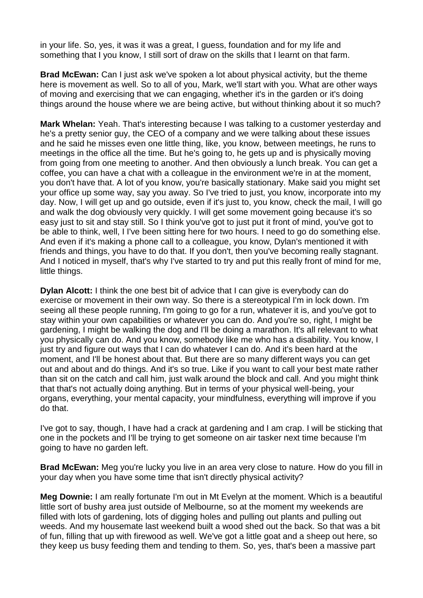in your life. So, yes, it was it was a great, I guess, foundation and for my life and something that I you know, I still sort of draw on the skills that I learnt on that farm.

**Brad McEwan:** Can I just ask we've spoken a lot about physical activity, but the theme here is movement as well. So to all of you, Mark, we'll start with you. What are other ways of moving and exercising that we can engaging, whether it's in the garden or it's doing things around the house where we are being active, but without thinking about it so much?

**Mark Whelan:** Yeah. That's interesting because I was talking to a customer yesterday and he's a pretty senior guy, the CEO of a company and we were talking about these issues and he said he misses even one little thing, like, you know, between meetings, he runs to meetings in the office all the time. But he's going to, he gets up and is physically moving from going from one meeting to another. And then obviously a lunch break. You can get a coffee, you can have a chat with a colleague in the environment we're in at the moment, you don't have that. A lot of you know, you're basically stationary. Make said you might set your office up some way, say you away. So I've tried to just, you know, incorporate into my day. Now, I will get up and go outside, even if it's just to, you know, check the mail, I will go and walk the dog obviously very quickly. I will get some movement going because it's so easy just to sit and stay still. So I think you've got to just put it front of mind, you've got to be able to think, well, I I've been sitting here for two hours. I need to go do something else. And even if it's making a phone call to a colleague, you know, Dylan's mentioned it with friends and things, you have to do that. If you don't, then you've becoming really stagnant. And I noticed in myself, that's why I've started to try and put this really front of mind for me, little things.

**Dylan Alcott:** I think the one best bit of advice that I can give is everybody can do exercise or movement in their own way. So there is a stereotypical I'm in lock down. I'm seeing all these people running, I'm going to go for a run, whatever it is, and you've got to stay within your own capabilities or whatever you can do. And you're so, right, I might be gardening, I might be walking the dog and I'll be doing a marathon. It's all relevant to what you physically can do. And you know, somebody like me who has a disability. You know, I just try and figure out ways that I can do whatever I can do. And it's been hard at the moment, and I'll be honest about that. But there are so many different ways you can get out and about and do things. And it's so true. Like if you want to call your best mate rather than sit on the catch and call him, just walk around the block and call. And you might think that that's not actually doing anything. But in terms of your physical well-being, your organs, everything, your mental capacity, your mindfulness, everything will improve if you do that.

I've got to say, though, I have had a crack at gardening and I am crap. I will be sticking that one in the pockets and I'll be trying to get someone on air tasker next time because I'm going to have no garden left.

**Brad McEwan:** Meg you're lucky you live in an area very close to nature. How do you fill in your day when you have some time that isn't directly physical activity?

**Meg Downie:** I am really fortunate I'm out in Mt Evelyn at the moment. Which is a beautiful little sort of bushy area just outside of Melbourne, so at the moment my weekends are filled with lots of gardening, lots of digging holes and pulling out plants and pulling out weeds. And my housemate last weekend built a wood shed out the back. So that was a bit of fun, filling that up with firewood as well. We've got a little goat and a sheep out here, so they keep us busy feeding them and tending to them. So, yes, that's been a massive part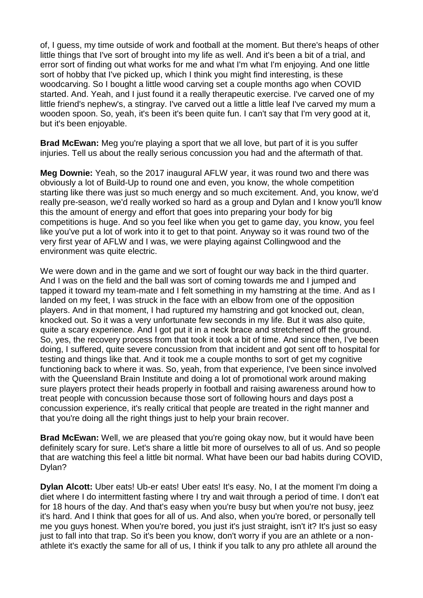of, I guess, my time outside of work and football at the moment. But there's heaps of other little things that I've sort of brought into my life as well. And it's been a bit of a trial, and error sort of finding out what works for me and what I'm what I'm enjoying. And one little sort of hobby that I've picked up, which I think you might find interesting, is these woodcarving. So I bought a little wood carving set a couple months ago when COVID started. And. Yeah, and I just found it a really therapeutic exercise. I've carved one of my little friend's nephew's, a stingray. I've carved out a little a little leaf I've carved my mum a wooden spoon. So, yeah, it's been it's been quite fun. I can't say that I'm very good at it, but it's been enjoyable.

**Brad McEwan:** Meg you're playing a sport that we all love, but part of it is you suffer injuries. Tell us about the really serious concussion you had and the aftermath of that.

**Meg Downie:** Yeah, so the 2017 inaugural AFLW year, it was round two and there was obviously a lot of Build-Up to round one and even, you know, the whole competition starting like there was just so much energy and so much excitement. And, you know, we'd really pre-season, we'd really worked so hard as a group and Dylan and I know you'll know this the amount of energy and effort that goes into preparing your body for big competitions is huge. And so you feel like when you get to game day, you know, you feel like you've put a lot of work into it to get to that point. Anyway so it was round two of the very first year of AFLW and I was, we were playing against Collingwood and the environment was quite electric.

We were down and in the game and we sort of fought our way back in the third quarter. And I was on the field and the ball was sort of coming towards me and I jumped and tapped it toward my team-mate and I felt something in my hamstring at the time. And as I landed on my feet, I was struck in the face with an elbow from one of the opposition players. And in that moment, I had ruptured my hamstring and got knocked out, clean, knocked out. So it was a very unfortunate few seconds in my life. But it was also quite, quite a scary experience. And I got put it in a neck brace and stretchered off the ground. So, yes, the recovery process from that took it took a bit of time. And since then, I've been doing, I suffered, quite severe concussion from that incident and got sent off to hospital for testing and things like that. And it took me a couple months to sort of get my cognitive functioning back to where it was. So, yeah, from that experience, I've been since involved with the Queensland Brain Institute and doing a lot of promotional work around making sure players protect their heads properly in football and raising awareness around how to treat people with concussion because those sort of following hours and days post a concussion experience, it's really critical that people are treated in the right manner and that you're doing all the right things just to help your brain recover.

**Brad McEwan:** Well, we are pleased that you're going okay now, but it would have been definitely scary for sure. Let's share a little bit more of ourselves to all of us. And so people that are watching this feel a little bit normal. What have been our bad habits during COVID, Dylan?

**Dylan Alcott:** Uber eats! Ub-er eats! Uber eats! It's easy. No, I at the moment I'm doing a diet where I do intermittent fasting where I try and wait through a period of time. I don't eat for 18 hours of the day. And that's easy when you're busy but when you're not busy, jeez it's hard. And I think that goes for all of us. And also, when you're bored, or personally tell me you guys honest. When you're bored, you just it's just straight, isn't it? It's just so easy just to fall into that trap. So it's been you know, don't worry if you are an athlete or a nonathlete it's exactly the same for all of us, I think if you talk to any pro athlete all around the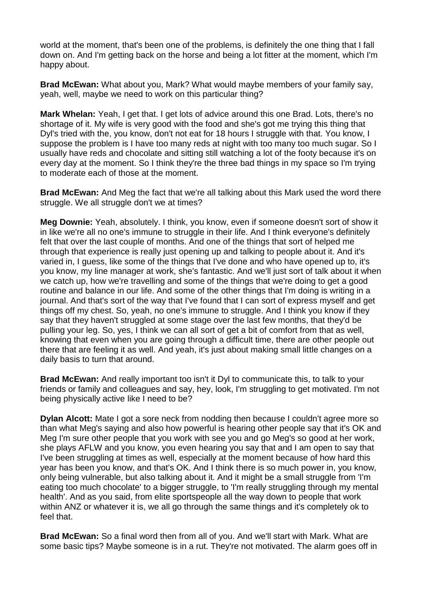world at the moment, that's been one of the problems, is definitely the one thing that I fall down on. And I'm getting back on the horse and being a lot fitter at the moment, which I'm happy about.

**Brad McEwan:** What about you, Mark? What would maybe members of your family say, yeah, well, maybe we need to work on this particular thing?

**Mark Whelan:** Yeah, I get that. I get lots of advice around this one Brad. Lots, there's no shortage of it. My wife is very good with the food and she's got me trying this thing that Dyl's tried with the, you know, don't not eat for 18 hours I struggle with that. You know, I suppose the problem is I have too many reds at night with too many too much sugar. So I usually have reds and chocolate and sitting still watching a lot of the footy because it's on every day at the moment. So I think they're the three bad things in my space so I'm trying to moderate each of those at the moment.

**Brad McEwan:** And Meg the fact that we're all talking about this Mark used the word there struggle. We all struggle don't we at times?

**Meg Downie:** Yeah, absolutely. I think, you know, even if someone doesn't sort of show it in like we're all no one's immune to struggle in their life. And I think everyone's definitely felt that over the last couple of months. And one of the things that sort of helped me through that experience is really just opening up and talking to people about it. And it's varied in, I guess, like some of the things that I've done and who have opened up to, it's you know, my line manager at work, she's fantastic. And we'll just sort of talk about it when we catch up, how we're travelling and some of the things that we're doing to get a good routine and balance in our life. And some of the other things that I'm doing is writing in a journal. And that's sort of the way that I've found that I can sort of express myself and get things off my chest. So, yeah, no one's immune to struggle. And I think you know if they say that they haven't struggled at some stage over the last few months, that they'd be pulling your leg. So, yes, I think we can all sort of get a bit of comfort from that as well, knowing that even when you are going through a difficult time, there are other people out there that are feeling it as well. And yeah, it's just about making small little changes on a daily basis to turn that around.

**Brad McEwan:** And really important too isn't it Dyl to communicate this, to talk to your friends or family and colleagues and say, hey, look, I'm struggling to get motivated. I'm not being physically active like I need to be?

**Dylan Alcott:** Mate I got a sore neck from nodding then because I couldn't agree more so than what Meg's saying and also how powerful is hearing other people say that it's OK and Meg I'm sure other people that you work with see you and go Meg's so good at her work, she plays AFLW and you know, you even hearing you say that and I am open to say that I've been struggling at times as well, especially at the moment because of how hard this year has been you know, and that's OK. And I think there is so much power in, you know, only being vulnerable, but also talking about it. And it might be a small struggle from 'I'm eating too much chocolate' to a bigger struggle, to 'I'm really struggling through my mental health'. And as you said, from elite sportspeople all the way down to people that work within ANZ or whatever it is, we all go through the same things and it's completely ok to feel that.

**Brad McEwan:** So a final word then from all of you. And we'll start with Mark. What are some basic tips? Maybe someone is in a rut. They're not motivated. The alarm goes off in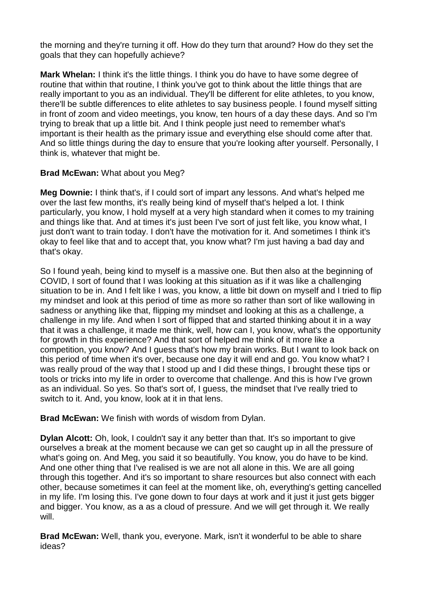the morning and they're turning it off. How do they turn that around? How do they set the goals that they can hopefully achieve?

**Mark Whelan:** I think it's the little things. I think you do have to have some degree of routine that within that routine, I think you've got to think about the little things that are really important to you as an individual. They'll be different for elite athletes, to you know, there'll be subtle differences to elite athletes to say business people. I found myself sitting in front of zoom and video meetings, you know, ten hours of a day these days. And so I'm trying to break that up a little bit. And I think people just need to remember what's important is their health as the primary issue and everything else should come after that. And so little things during the day to ensure that you're looking after yourself. Personally, I think is, whatever that might be.

# **Brad McEwan:** What about you Meg?

**Meg Downie:** I think that's, if I could sort of impart any lessons. And what's helped me over the last few months, it's really being kind of myself that's helped a lot. I think particularly, you know, I hold myself at a very high standard when it comes to my training and things like that. And at times it's just been I've sort of just felt like, you know what. I just don't want to train today. I don't have the motivation for it. And sometimes I think it's okay to feel like that and to accept that, you know what? I'm just having a bad day and that's okay.

So I found yeah, being kind to myself is a massive one. But then also at the beginning of COVID, I sort of found that I was looking at this situation as if it was like a challenging situation to be in. And I felt like I was, you know, a little bit down on myself and I tried to flip my mindset and look at this period of time as more so rather than sort of like wallowing in sadness or anything like that, flipping my mindset and looking at this as a challenge, a challenge in my life. And when I sort of flipped that and started thinking about it in a way that it was a challenge, it made me think, well, how can I, you know, what's the opportunity for growth in this experience? And that sort of helped me think of it more like a competition, you know? And I guess that's how my brain works. But I want to look back on this period of time when it's over, because one day it will end and go. You know what? I was really proud of the way that I stood up and I did these things, I brought these tips or tools or tricks into my life in order to overcome that challenge. And this is how I've grown as an individual. So yes. So that's sort of, I guess, the mindset that I've really tried to switch to it. And, you know, look at it in that lens.

**Brad McEwan:** We finish with words of wisdom from Dylan.

**Dylan Alcott:** Oh, look, I couldn't say it any better than that. It's so important to give ourselves a break at the moment because we can get so caught up in all the pressure of what's going on. And Meg, you said it so beautifully. You know, you do have to be kind. And one other thing that I've realised is we are not all alone in this. We are all going through this together. And it's so important to share resources but also connect with each other, because sometimes it can feel at the moment like, oh, everything's getting cancelled in my life. I'm losing this. I've gone down to four days at work and it just it just gets bigger and bigger. You know, as a as a cloud of pressure. And we will get through it. We really will.

**Brad McEwan:** Well, thank you, everyone. Mark, isn't it wonderful to be able to share ideas?